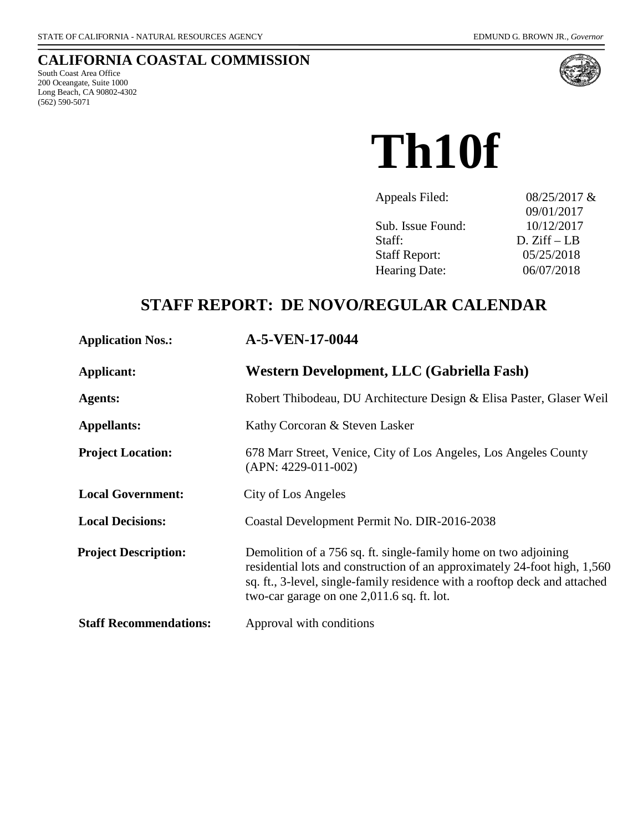## **CALIFORNIA COASTAL COMMISSION**

South Coast Area Office 200 Oceangate, Suite 1000 Long Beach, CA 90802-4302 (562) 590-5071



**Th10f**

| 08/25/2017 &  |
|---------------|
| 09/01/2017    |
| 10/12/2017    |
| $D. Ziff-I.B$ |
| 05/25/2018    |
| 06/07/2018    |
|               |

# **STAFF REPORT: DE NOVO/REGULAR CALENDAR**

| <b>Application Nos.:</b>      | A-5-VEN-17-0044                                                                                                                                                                                                                                                          |
|-------------------------------|--------------------------------------------------------------------------------------------------------------------------------------------------------------------------------------------------------------------------------------------------------------------------|
| Applicant:                    | Western Development, LLC (Gabriella Fash)                                                                                                                                                                                                                                |
| <b>Agents:</b>                | Robert Thibodeau, DU Architecture Design & Elisa Paster, Glaser Weil                                                                                                                                                                                                     |
| <b>Appellants:</b>            | Kathy Corcoran & Steven Lasker                                                                                                                                                                                                                                           |
| <b>Project Location:</b>      | 678 Marr Street, Venice, City of Los Angeles, Los Angeles County<br>$(APN: 4229-011-002)$                                                                                                                                                                                |
| <b>Local Government:</b>      | City of Los Angeles                                                                                                                                                                                                                                                      |
| <b>Local Decisions:</b>       | Coastal Development Permit No. DIR-2016-2038                                                                                                                                                                                                                             |
| <b>Project Description:</b>   | Demolition of a 756 sq. ft. single-family home on two adjoining<br>residential lots and construction of an approximately 24-foot high, 1,560<br>sq. ft., 3-level, single-family residence with a rooftop deck and attached<br>two-car garage on one 2,011.6 sq. ft. lot. |
| <b>Staff Recommendations:</b> | Approval with conditions                                                                                                                                                                                                                                                 |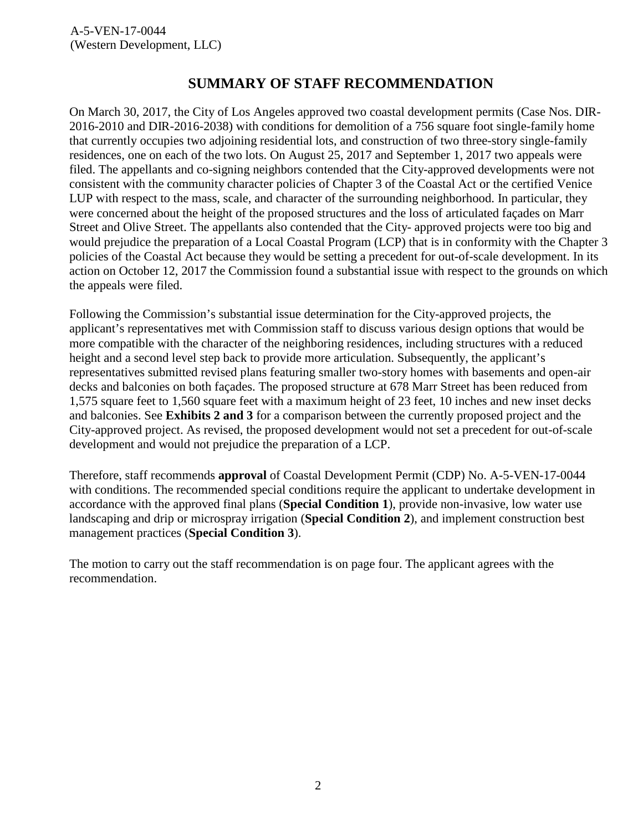## **SUMMARY OF STAFF RECOMMENDATION**

On March 30, 2017, the City of Los Angeles approved two coastal development permits (Case Nos. DIR-2016-2010 and DIR-2016-2038) with conditions for demolition of a 756 square foot single-family home that currently occupies two adjoining residential lots, and construction of two three-story single-family residences, one on each of the two lots. On August 25, 2017 and September 1, 2017 two appeals were filed. The appellants and co-signing neighbors contended that the City-approved developments were not consistent with the community character policies of Chapter 3 of the Coastal Act or the certified Venice LUP with respect to the mass, scale, and character of the surrounding neighborhood. In particular, they were concerned about the height of the proposed structures and the loss of articulated façades on Marr Street and Olive Street. The appellants also contended that the City- approved projects were too big and would prejudice the preparation of a Local Coastal Program (LCP) that is in conformity with the Chapter 3 policies of the Coastal Act because they would be setting a precedent for out-of-scale development. In its action on October 12, 2017 the Commission found a substantial issue with respect to the grounds on which the appeals were filed.

Following the Commission's substantial issue determination for the City-approved projects, the applicant's representatives met with Commission staff to discuss various design options that would be more compatible with the character of the neighboring residences, including structures with a reduced height and a second level step back to provide more articulation. Subsequently, the applicant's representatives submitted revised plans featuring smaller two-story homes with basements and open-air decks and balconies on both façades. The proposed structure at 678 Marr Street has been reduced from 1,575 square feet to 1,560 square feet with a maximum height of 23 feet, 10 inches and new inset decks and balconies. See **[Exhibits 2 and 3](https://documents.coastal.ca.gov/reports/2018/6/th10f/th10f-6-2018-exhibits.pdf)** for a comparison between the currently proposed project and the City-approved project. As revised, the proposed development would not set a precedent for out-of-scale development and would not prejudice the preparation of a LCP.

Therefore, staff recommends **approval** of Coastal Development Permit (CDP) No. A-5-VEN-17-0044 with conditions. The recommended special conditions require the applicant to undertake development in accordance with the approved final plans (**Special Condition 1**), provide non-invasive, low water use landscaping and drip or microspray irrigation (**Special Condition 2**), and implement construction best management practices (**Special Condition 3**).

The motion to carry out the staff recommendation is on page four. The applicant agrees with the recommendation.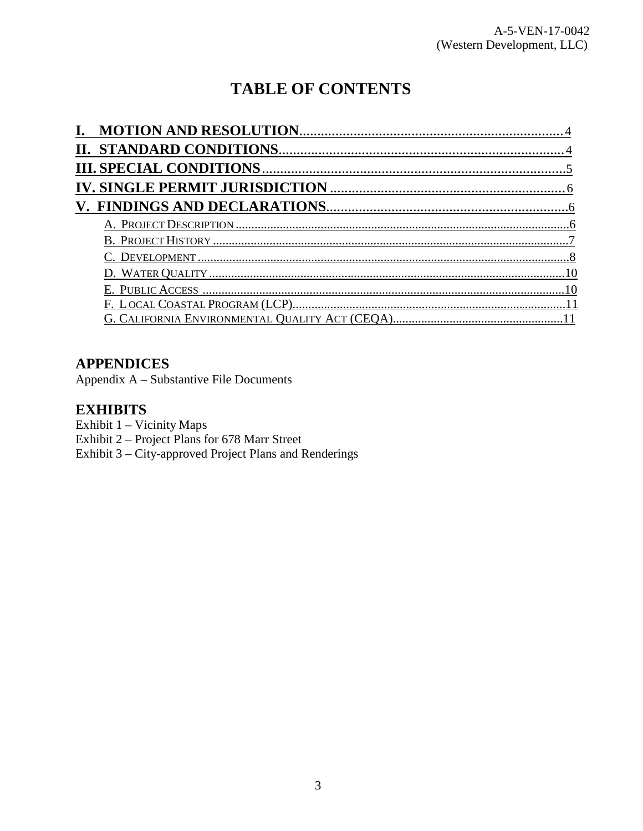# **TABLE OF CONTENTS**

#### **APPENDICES**

Appendix A - Substantive File Documents

#### **EXHIBITS**

Exhibit 1 - Vicinity Maps

Exhibit 2 - Project Plans for 678 Marr Street

<span id="page-2-0"></span>Exhibit 3 – City-approved Project Plans and Renderings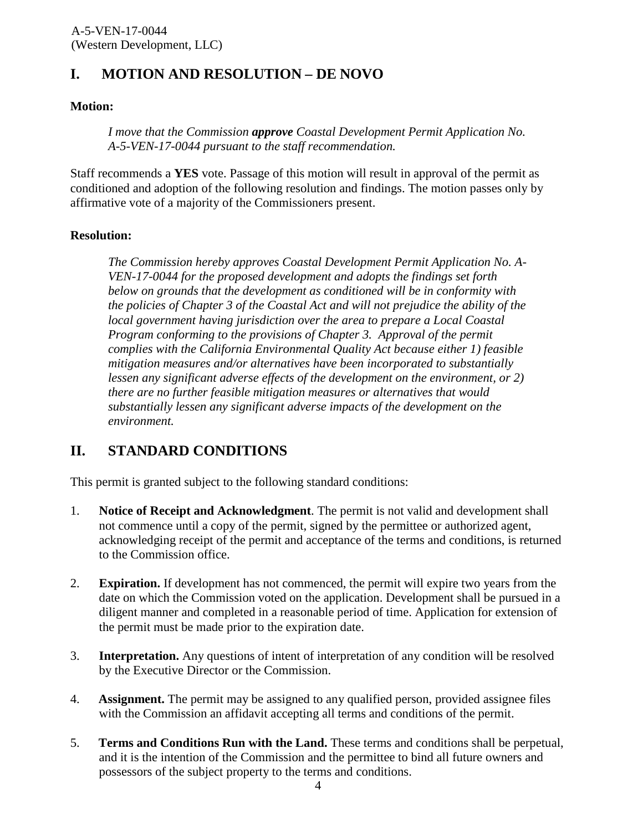# **I. MOTION AND RESOLUTION – DE NOVO**

#### **Motion:**

*I move that the Commission approve Coastal Development Permit Application No. A-5-VEN-17-0044 pursuant to the staff recommendation.* 

Staff recommends a **YES** vote. Passage of this motion will result in approval of the permit as conditioned and adoption of the following resolution and findings. The motion passes only by affirmative vote of a majority of the Commissioners present.

#### **Resolution:**

*The Commission hereby approves Coastal Development Permit Application No. A-VEN-17-0044 for the proposed development and adopts the findings set forth below on grounds that the development as conditioned will be in conformity with the policies of Chapter 3 of the Coastal Act and will not prejudice the ability of the local government having jurisdiction over the area to prepare a Local Coastal Program conforming to the provisions of Chapter 3. Approval of the permit complies with the California Environmental Quality Act because either 1) feasible mitigation measures and/or alternatives have been incorporated to substantially lessen any significant adverse effects of the development on the environment, or 2) there are no further feasible mitigation measures or alternatives that would substantially lessen any significant adverse impacts of the development on the environment.* 

## <span id="page-3-0"></span>**II. STANDARD CONDITIONS**

This permit is granted subject to the following standard conditions:

- 1. **Notice of Receipt and Acknowledgment**. The permit is not valid and development shall not commence until a copy of the permit, signed by the permittee or authorized agent, acknowledging receipt of the permit and acceptance of the terms and conditions, is returned to the Commission office.
- 2. **Expiration.** If development has not commenced, the permit will expire two years from the date on which the Commission voted on the application. Development shall be pursued in a diligent manner and completed in a reasonable period of time. Application for extension of the permit must be made prior to the expiration date.
- 3. **Interpretation.** Any questions of intent of interpretation of any condition will be resolved by the Executive Director or the Commission.
- 4. **Assignment.** The permit may be assigned to any qualified person, provided assignee files with the Commission an affidavit accepting all terms and conditions of the permit.
- 5. **Terms and Conditions Run with the Land.** These terms and conditions shall be perpetual, and it is the intention of the Commission and the permittee to bind all future owners and possessors of the subject property to the terms and conditions.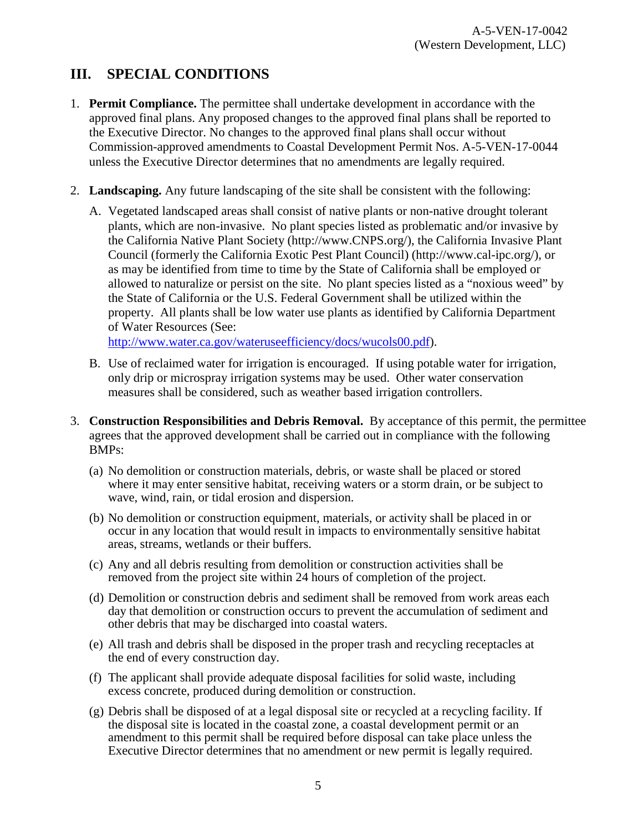# <span id="page-4-0"></span>**III. SPECIAL CONDITIONS**

- 1. **Permit Compliance.** The permittee shall undertake development in accordance with the approved final plans. Any proposed changes to the approved final plans shall be reported to the Executive Director. No changes to the approved final plans shall occur without Commission-approved amendments to Coastal Development Permit Nos. A-5-VEN-17-0044 unless the Executive Director determines that no amendments are legally required.
- 2. **Landscaping.** Any future landscaping of the site shall be consistent with the following:
	- A. Vegetated landscaped areas shall consist of native plants or non-native drought tolerant plants, which are non-invasive. No plant species listed as problematic and/or invasive by the California Native Plant Society (http://www.CNPS.org/), the California Invasive Plant Council (formerly the California Exotic Pest Plant Council) (http://www.cal-ipc.org/), or as may be identified from time to time by the State of California shall be employed or allowed to naturalize or persist on the site. No plant species listed as a "noxious weed" by the State of California or the U.S. Federal Government shall be utilized within the property. All plants shall be low water use plants as identified by California Department of Water Resources (See:

[http://www.water.ca.gov/wateruseefficiency/docs/wucols00.pdf\)](http://www.water.ca.gov/wateruseefficiency/docs/wucols00.pdf).

- B. Use of reclaimed water for irrigation is encouraged. If using potable water for irrigation, only drip or microspray irrigation systems may be used. Other water conservation measures shall be considered, such as weather based irrigation controllers.
- 3. **Construction Responsibilities and Debris Removal.** By acceptance of this permit, the permittee agrees that the approved development shall be carried out in compliance with the following BMPs:
	- (a) No demolition or construction materials, debris, or waste shall be placed or stored where it may enter sensitive habitat, receiving waters or a storm drain, or be subject to wave, wind, rain, or tidal erosion and dispersion.
	- (b) No demolition or construction equipment, materials, or activity shall be placed in or occur in any location that would result in impacts to environmentally sensitive habitat areas, streams, wetlands or their buffers.
	- (c) Any and all debris resulting from demolition or construction activities shall be removed from the project site within 24 hours of completion of the project.
	- (d) Demolition or construction debris and sediment shall be removed from work areas each day that demolition or construction occurs to prevent the accumulation of sediment and other debris that may be discharged into coastal waters.
	- (e) All trash and debris shall be disposed in the proper trash and recycling receptacles at the end of every construction day.
	- (f) The applicant shall provide adequate disposal facilities for solid waste, including excess concrete, produced during demolition or construction.
	- (g) Debris shall be disposed of at a legal disposal site or recycled at a recycling facility. If the disposal site is located in the coastal zone, a coastal development permit or an amendment to this permit shall be required before disposal can take place unless the Executive Director determines that no amendment or new permit is legally required.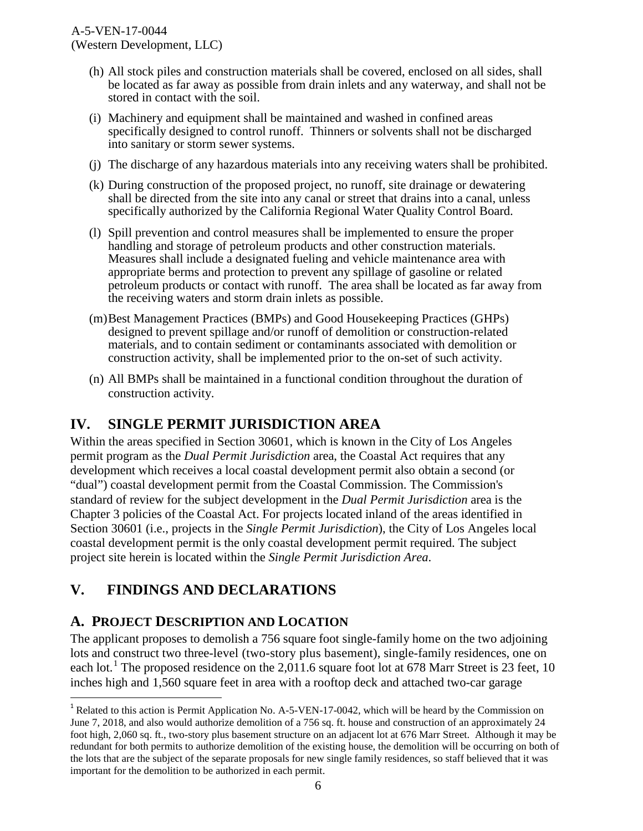- (h) All stock piles and construction materials shall be covered, enclosed on all sides, shall be located as far away as possible from drain inlets and any waterway, and shall not be stored in contact with the soil.
- (i) Machinery and equipment shall be maintained and washed in confined areas specifically designed to control runoff. Thinners or solvents shall not be discharged into sanitary or storm sewer systems.
- (j) The discharge of any hazardous materials into any receiving waters shall be prohibited.
- (k) During construction of the proposed project, no runoff, site drainage or dewatering shall be directed from the site into any canal or street that drains into a canal, unless specifically authorized by the California Regional Water Quality Control Board.
- (l) Spill prevention and control measures shall be implemented to ensure the proper handling and storage of petroleum products and other construction materials. Measures shall include a designated fueling and vehicle maintenance area with appropriate berms and protection to prevent any spillage of gasoline or related petroleum products or contact with runoff. The area shall be located as far away from the receiving waters and storm drain inlets as possible.
- (m)Best Management Practices (BMPs) and Good Housekeeping Practices (GHPs) designed to prevent spillage and/or runoff of demolition or construction-related materials, and to contain sediment or contaminants associated with demolition or construction activity, shall be implemented prior to the on-set of such activity.
- (n) All BMPs shall be maintained in a functional condition throughout the duration of construction activity.

# <span id="page-5-0"></span>**IV. SINGLE PERMIT JURISDICTION AREA**

Within the areas specified in Section 30601, which is known in the City of Los Angeles permit program as the *Dual Permit Jurisdiction* area, the Coastal Act requires that any development which receives a local coastal development permit also obtain a second (or "dual") coastal development permit from the Coastal Commission. The Commission's standard of review for the subject development in the *Dual Permit Jurisdiction* area is the Chapter 3 policies of the Coastal Act. For projects located inland of the areas identified in Section 30601 (i.e., projects in the *Single Permit Jurisdiction*), the City of Los Angeles local coastal development permit is the only coastal development permit required. The subject project site herein is located within the *Single Permit Jurisdiction Area*.

# <span id="page-5-1"></span>**V. FINDINGS AND DECLARATIONS**

## <span id="page-5-2"></span>**A. PROJECT DESCRIPTION AND LOCATION**

 $\overline{a}$ 

The applicant proposes to demolish a 756 square foot single-family home on the two adjoining lots and construct two three-level (two-story plus basement), single-family residences, one on each lot.<sup>[1](#page-5-3)</sup> The proposed residence on the 2,011.6 square foot lot at 678 Marr Street is 23 feet, 10 inches high and 1,560 square feet in area with a rooftop deck and attached two-car garage

<span id="page-5-3"></span><sup>&</sup>lt;sup>1</sup> Related to this action is Permit Application No. A-5-VEN-17-0042, which will be heard by the Commission on June 7, 2018, and also would authorize demolition of a 756 sq. ft. house and construction of an approximately 24 foot high, 2,060 sq. ft., two-story plus basement structure on an adjacent lot at 676 Marr Street. Although it may be redundant for both permits to authorize demolition of the existing house, the demolition will be occurring on both of the lots that are the subject of the separate proposals for new single family residences, so staff believed that it was important for the demolition to be authorized in each permit.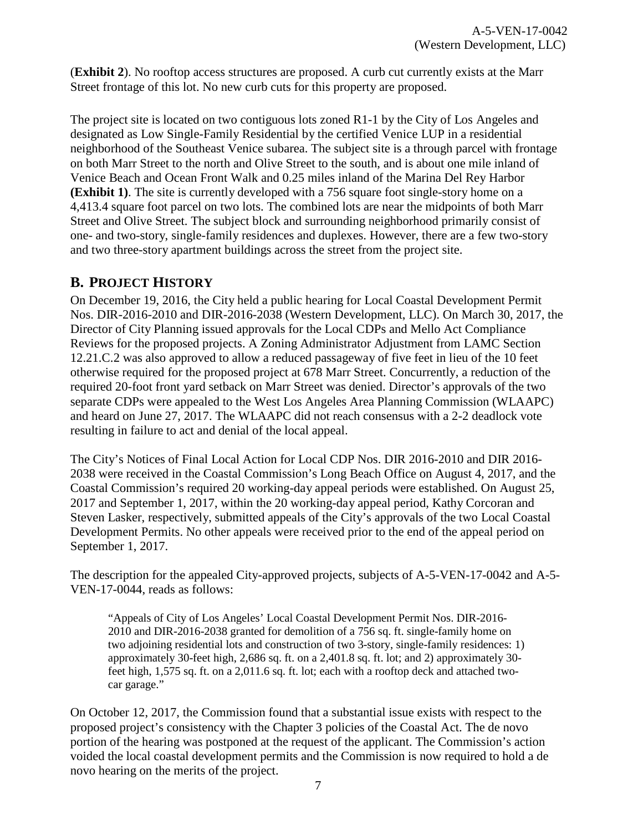(**[Exhibit 2](https://documents.coastal.ca.gov/reports/2018/6/th10f/th10f-6-2018-exhibits.pdf)**). No rooftop access structures are proposed. A curb cut currently exists at the Marr Street frontage of this lot. No new curb cuts for this property are proposed.

The project site is located on two contiguous lots zoned R1-1 by the City of Los Angeles and designated as Low Single-Family Residential by the certified Venice LUP in a residential neighborhood of the Southeast Venice subarea. The subject site is a through parcel with frontage on both Marr Street to the north and Olive Street to the south, and is about one mile inland of Venice Beach and Ocean Front Walk and 0.25 miles inland of the Marina Del Rey Harbor **[\(Exhibit 1\)](https://documents.coastal.ca.gov/reports/2018/6/th10f/th10f-6-2018-exhibits.pdf)**. The site is currently developed with a 756 square foot single-story home on a 4,413.4 square foot parcel on two lots. The combined lots are near the midpoints of both Marr Street and Olive Street. The subject block and surrounding neighborhood primarily consist of one- and two-story, single-family residences and duplexes. However, there are a few two-story and two three-story apartment buildings across the street from the project site.

## <span id="page-6-0"></span>**B. PROJECT HISTORY**

On December 19, 2016, the City held a public hearing for Local Coastal Development Permit Nos. DIR-2016-2010 and DIR-2016-2038 (Western Development, LLC). On March 30, 2017, the Director of City Planning issued approvals for the Local CDPs and Mello Act Compliance Reviews for the proposed projects. A Zoning Administrator Adjustment from LAMC Section 12.21.C.2 was also approved to allow a reduced passageway of five feet in lieu of the 10 feet otherwise required for the proposed project at 678 Marr Street. Concurrently, a reduction of the required 20-foot front yard setback on Marr Street was denied. Director's approvals of the two separate CDPs were appealed to the West Los Angeles Area Planning Commission (WLAAPC) and heard on June 27, 2017. The WLAAPC did not reach consensus with a 2-2 deadlock vote resulting in failure to act and denial of the local appeal.

The City's Notices of Final Local Action for Local CDP Nos. DIR 2016-2010 and DIR 2016- 2038 were received in the Coastal Commission's Long Beach Office on August 4, 2017, and the Coastal Commission's required 20 working-day appeal periods were established. On August 25, 2017 and September 1, 2017, within the 20 working-day appeal period, Kathy Corcoran and Steven Lasker, respectively, submitted appeals of the City's approvals of the two Local Coastal Development Permits. No other appeals were received prior to the end of the appeal period on September 1, 2017.

The description for the appealed City-approved projects, subjects of A-5-VEN-17-0042 and A-5- VEN-17-0044, reads as follows:

"Appeals of City of Los Angeles' Local Coastal Development Permit Nos. DIR-2016- 2010 and DIR-2016-2038 granted for demolition of a 756 sq. ft. single-family home on two adjoining residential lots and construction of two 3-story, single-family residences: 1) approximately 30-feet high, 2,686 sq. ft. on a 2,401.8 sq. ft. lot; and 2) approximately 30 feet high, 1,575 sq. ft. on a 2,011.6 sq. ft. lot; each with a rooftop deck and attached twocar garage."

On October 12, 2017, the Commission found that a substantial issue exists with respect to the proposed project's consistency with the Chapter 3 policies of the Coastal Act. The de novo portion of the hearing was postponed at the request of the applicant. The Commission's action voided the local coastal development permits and the Commission is now required to hold a de novo hearing on the merits of the project.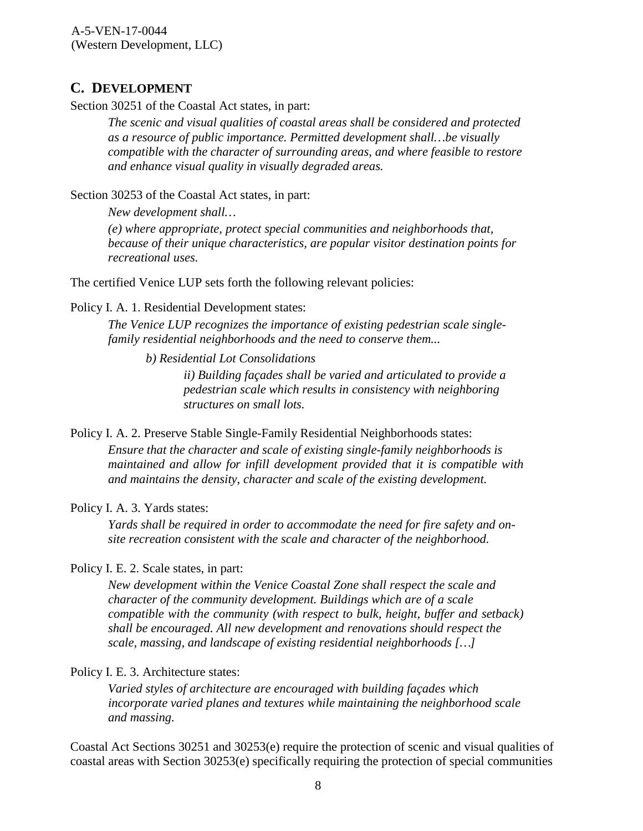#### <span id="page-7-0"></span>**C. DEVELOPMENT**

Section 30251 of the Coastal Act states, in part:

*The scenic and visual qualities of coastal areas shall be considered and protected as a resource of public importance. Permitted development shall…be visually compatible with the character of surrounding areas, and where feasible to restore and enhance visual quality in visually degraded areas.*

Section 30253 of the Coastal Act states, in part:

*New development shall…*

*(e) where appropriate, protect special communities and neighborhoods that, because of their unique characteristics, are popular visitor destination points for recreational uses.*

The certified Venice LUP sets forth the following relevant policies:

Policy I. A. 1. Residential Development states:

*The Venice LUP recognizes the importance of existing pedestrian scale singlefamily residential neighborhoods and the need to conserve them...*

*b) Residential Lot Consolidations* 

*ii) Building façades shall be varied and articulated to provide a pedestrian scale which results in consistency with neighboring structures on small lots.*

Policy I. A. 2. Preserve Stable Single-Family Residential Neighborhoods states:

*Ensure that the character and scale of existing single-family neighborhoods is maintained and allow for infill development provided that it is compatible with and maintains the density, character and scale of the existing development.*

#### Policy I. A. 3. Yards states:

*Yards shall be required in order to accommodate the need for fire safety and onsite recreation consistent with the scale and character of the neighborhood.*

#### Policy I. E. 2. Scale states, in part:

*New development within the Venice Coastal Zone shall respect the scale and character of the community development. Buildings which are of a scale compatible with the community (with respect to bulk, height, buffer and setback) shall be encouraged. All new development and renovations should respect the scale, massing, and landscape of existing residential neighborhoods […]*

#### Policy I. E. 3. Architecture states:

*Varied styles of architecture are encouraged with building façades which incorporate varied planes and textures while maintaining the neighborhood scale and massing.*

Coastal Act Sections 30251 and 30253(e) require the protection of scenic and visual qualities of coastal areas with Section 30253(e) specifically requiring the protection of special communities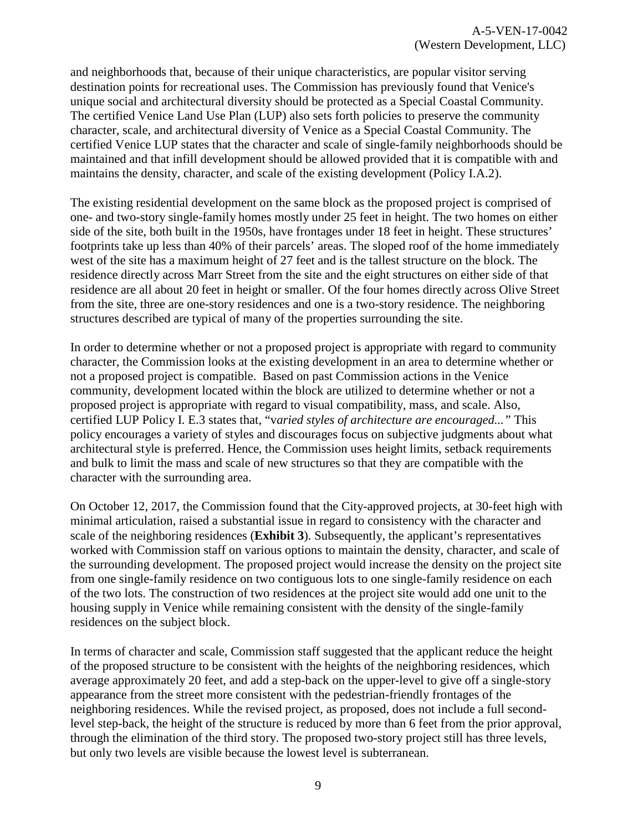and neighborhoods that, because of their unique characteristics, are popular visitor serving destination points for recreational uses. The Commission has previously found that Venice's unique social and architectural diversity should be protected as a Special Coastal Community. The certified Venice Land Use Plan (LUP) also sets forth policies to preserve the community character, scale, and architectural diversity of Venice as a Special Coastal Community. The certified Venice LUP states that the character and scale of single-family neighborhoods should be maintained and that infill development should be allowed provided that it is compatible with and maintains the density, character, and scale of the existing development (Policy I.A.2).

The existing residential development on the same block as the proposed project is comprised of one- and two-story single-family homes mostly under 25 feet in height. The two homes on either side of the site, both built in the 1950s, have frontages under 18 feet in height. These structures' footprints take up less than 40% of their parcels' areas. The sloped roof of the home immediately west of the site has a maximum height of 27 feet and is the tallest structure on the block. The residence directly across Marr Street from the site and the eight structures on either side of that residence are all about 20 feet in height or smaller. Of the four homes directly across Olive Street from the site, three are one-story residences and one is a two-story residence. The neighboring structures described are typical of many of the properties surrounding the site.

In order to determine whether or not a proposed project is appropriate with regard to community character, the Commission looks at the existing development in an area to determine whether or not a proposed project is compatible. Based on past Commission actions in the Venice community, development located within the block are utilized to determine whether or not a proposed project is appropriate with regard to visual compatibility, mass, and scale. Also, certified LUP Policy I. E.3 states that, "v*aried styles of architecture are encouraged..."* This policy encourages a variety of styles and discourages focus on subjective judgments about what architectural style is preferred. Hence, the Commission uses height limits, setback requirements and bulk to limit the mass and scale of new structures so that they are compatible with the character with the surrounding area.

On October 12, 2017, the Commission found that the City-approved projects, at 30-feet high with minimal articulation, raised a substantial issue in regard to consistency with the character and scale of the neighboring residences (**[Exhibit 3](https://documents.coastal.ca.gov/reports/2018/6/th10f/th10f-6-2018-exhibits.pdf)**). Subsequently, the applicant's representatives worked with Commission staff on various options to maintain the density, character, and scale of the surrounding development. The proposed project would increase the density on the project site from one single-family residence on two contiguous lots to one single-family residence on each of the two lots. The construction of two residences at the project site would add one unit to the housing supply in Venice while remaining consistent with the density of the single-family residences on the subject block.

In terms of character and scale, Commission staff suggested that the applicant reduce the height of the proposed structure to be consistent with the heights of the neighboring residences, which average approximately 20 feet, and add a step-back on the upper-level to give off a single-story appearance from the street more consistent with the pedestrian-friendly frontages of the neighboring residences. While the revised project, as proposed, does not include a full secondlevel step-back, the height of the structure is reduced by more than 6 feet from the prior approval, through the elimination of the third story. The proposed two-story project still has three levels, but only two levels are visible because the lowest level is subterranean.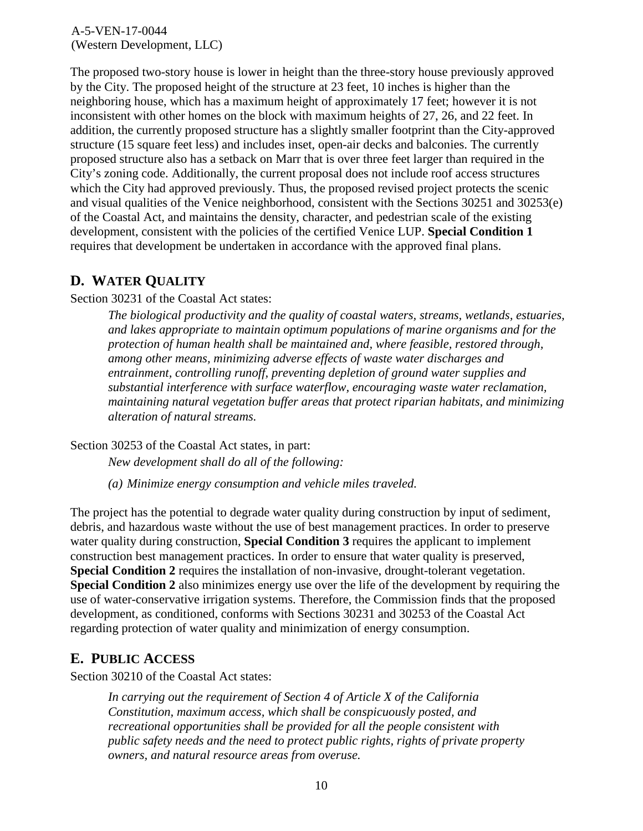The proposed two-story house is lower in height than the three-story house previously approved by the City. The proposed height of the structure at 23 feet, 10 inches is higher than the neighboring house, which has a maximum height of approximately 17 feet; however it is not inconsistent with other homes on the block with maximum heights of 27, 26, and 22 feet. In addition, the currently proposed structure has a slightly smaller footprint than the City-approved structure (15 square feet less) and includes inset, open-air decks and balconies. The currently proposed structure also has a setback on Marr that is over three feet larger than required in the City's zoning code. Additionally, the current proposal does not include roof access structures which the City had approved previously. Thus, the proposed revised project protects the scenic and visual qualities of the Venice neighborhood, consistent with the Sections 30251 and 30253(e) of the Coastal Act, and maintains the density, character, and pedestrian scale of the existing development, consistent with the policies of the certified Venice LUP. **Special Condition 1**  requires that development be undertaken in accordance with the approved final plans.

#### <span id="page-9-0"></span>**D. WATER QUALITY**

Section 30231 of the Coastal Act states:

*The biological productivity and the quality of coastal waters, streams, wetlands, estuaries, and lakes appropriate to maintain optimum populations of marine organisms and for the protection of human health shall be maintained and, where feasible, restored through, among other means, minimizing adverse effects of waste water discharges and entrainment, controlling runoff, preventing depletion of ground water supplies and substantial interference with surface waterflow, encouraging waste water reclamation, maintaining natural vegetation buffer areas that protect riparian habitats, and minimizing alteration of natural streams.* 

Section 30253 of the Coastal Act states, in part:

*New development shall do all of the following:* 

*(a) Minimize energy consumption and vehicle miles traveled.*

The project has the potential to degrade water quality during construction by input of sediment, debris, and hazardous waste without the use of best management practices. In order to preserve water quality during construction, **Special Condition 3** requires the applicant to implement construction best management practices. In order to ensure that water quality is preserved, **Special Condition 2** requires the installation of non-invasive, drought-tolerant vegetation. **Special Condition 2** also minimizes energy use over the life of the development by requiring the use of water-conservative irrigation systems. Therefore, the Commission finds that the proposed development, as conditioned, conforms with Sections 30231 and 30253 of the Coastal Act regarding protection of water quality and minimization of energy consumption.

#### <span id="page-9-1"></span>**E. PUBLIC ACCESS**

Section 30210 of the Coastal Act states:

 *In carrying out the requirement of Section 4 of Article X of the California Constitution, maximum access, which shall be conspicuously posted, and recreational opportunities shall be provided for all the people consistent with public safety needs and the need to protect public rights, rights of private property owners, and natural resource areas from overuse.*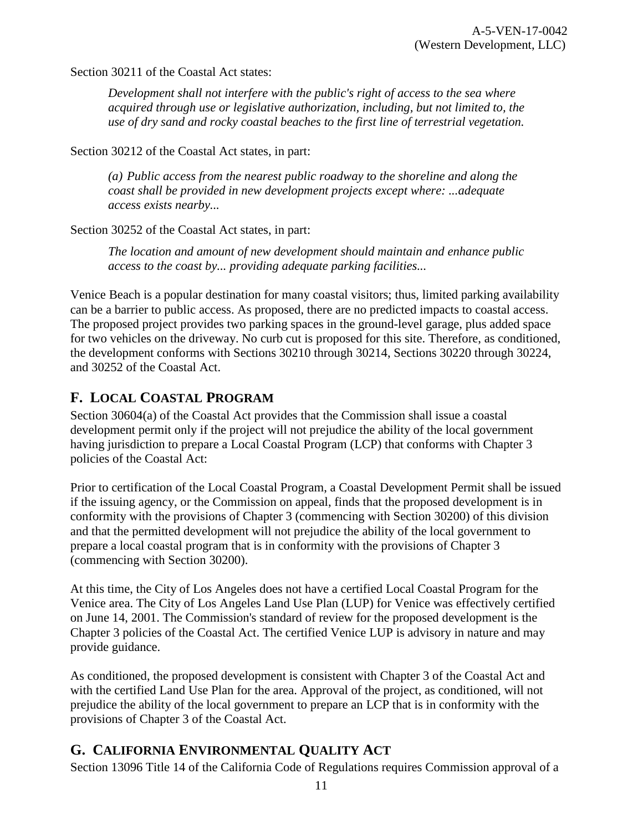Section 30211 of the Coastal Act states:

*Development shall not interfere with the public's right of access to the sea where acquired through use or legislative authorization, including, but not limited to, the use of dry sand and rocky coastal beaches to the first line of terrestrial vegetation.*

Section 30212 of the Coastal Act states, in part:

*(a) Public access from the nearest public roadway to the shoreline and along the coast shall be provided in new development projects except where: ...adequate access exists nearby...* 

Section 30252 of the Coastal Act states, in part:

*The location and amount of new development should maintain and enhance public access to the coast by... providing adequate parking facilities...* 

Venice Beach is a popular destination for many coastal visitors; thus, limited parking availability can be a barrier to public access. As proposed, there are no predicted impacts to coastal access. The proposed project provides two parking spaces in the ground-level garage, plus added space for two vehicles on the driveway. No curb cut is proposed for this site. Therefore, as conditioned, the development conforms with Sections 30210 through 30214, Sections 30220 through 30224, and 30252 of the Coastal Act.

#### <span id="page-10-0"></span>**F. LOCAL COASTAL PROGRAM**

Section 30604(a) of the Coastal Act provides that the Commission shall issue a coastal development permit only if the project will not prejudice the ability of the local government having jurisdiction to prepare a Local Coastal Program (LCP) that conforms with Chapter 3 policies of the Coastal Act:

Prior to certification of the Local Coastal Program, a Coastal Development Permit shall be issued if the issuing agency, or the Commission on appeal, finds that the proposed development is in conformity with the provisions of Chapter 3 (commencing with Section 30200) of this division and that the permitted development will not prejudice the ability of the local government to prepare a local coastal program that is in conformity with the provisions of Chapter 3 (commencing with Section 30200).

At this time, the City of Los Angeles does not have a certified Local Coastal Program for the Venice area. The City of Los Angeles Land Use Plan (LUP) for Venice was effectively certified on June 14, 2001. The Commission's standard of review for the proposed development is the Chapter 3 policies of the Coastal Act. The certified Venice LUP is advisory in nature and may provide guidance.

As conditioned, the proposed development is consistent with Chapter 3 of the Coastal Act and with the certified Land Use Plan for the area. Approval of the project, as conditioned, will not prejudice the ability of the local government to prepare an LCP that is in conformity with the provisions of Chapter 3 of the Coastal Act.

#### <span id="page-10-1"></span>**G. CALIFORNIA ENVIRONMENTAL QUALITY ACT**

Section 13096 Title 14 of the California Code of Regulations requires Commission approval of a